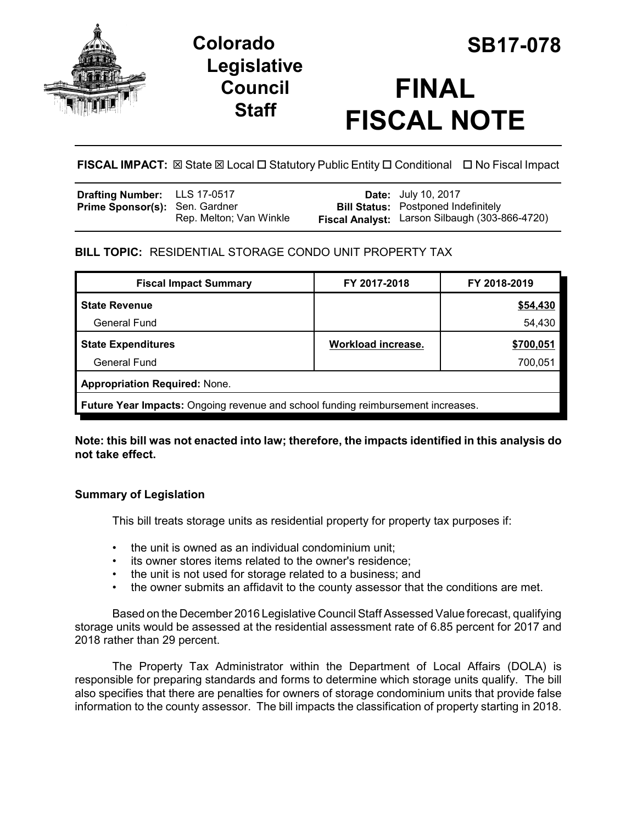

# **Colorado SB17-078 Legislative Council Staff**

# **FINAL FISCAL NOTE**

# **FISCAL IMPACT:** ⊠ State ⊠ Local □ Statutory Public Entity □ Conditional □ No Fiscal Impact

| Drafting Number: LLS 17-0517          |                         | <b>Date:</b> July 10, 2017                                                                   |
|---------------------------------------|-------------------------|----------------------------------------------------------------------------------------------|
| <b>Prime Sponsor(s): Sen. Gardner</b> | Rep. Melton; Van Winkle | <b>Bill Status:</b> Postponed Indefinitely<br>Fiscal Analyst: Larson Silbaugh (303-866-4720) |
|                                       |                         |                                                                                              |

## **BILL TOPIC:** RESIDENTIAL STORAGE CONDO UNIT PROPERTY TAX

| FY 2017-2018                                                                     | FY 2018-2019 |  |  |  |  |
|----------------------------------------------------------------------------------|--------------|--|--|--|--|
|                                                                                  | \$54,430     |  |  |  |  |
|                                                                                  | 54,430       |  |  |  |  |
| Workload increase.                                                               | \$700,051    |  |  |  |  |
|                                                                                  | 700,051      |  |  |  |  |
| <b>Appropriation Required: None.</b>                                             |              |  |  |  |  |
| Future Year Impacts: Ongoing revenue and school funding reimbursement increases. |              |  |  |  |  |
|                                                                                  |              |  |  |  |  |

**Note: this bill was not enacted into law; therefore, the impacts identified in this analysis do not take effect.**

## **Summary of Legislation**

This bill treats storage units as residential property for property tax purposes if:

- the unit is owned as an individual condominium unit;
- its owner stores items related to the owner's residence;
- the unit is not used for storage related to a business; and
- the owner submits an affidavit to the county assessor that the conditions are met.

Based on the December 2016 Legislative Council Staff Assessed Value forecast, qualifying storage units would be assessed at the residential assessment rate of 6.85 percent for 2017 and 2018 rather than 29 percent.

The Property Tax Administrator within the Department of Local Affairs (DOLA) is responsible for preparing standards and forms to determine which storage units qualify. The bill also specifies that there are penalties for owners of storage condominium units that provide false information to the county assessor. The bill impacts the classification of property starting in 2018.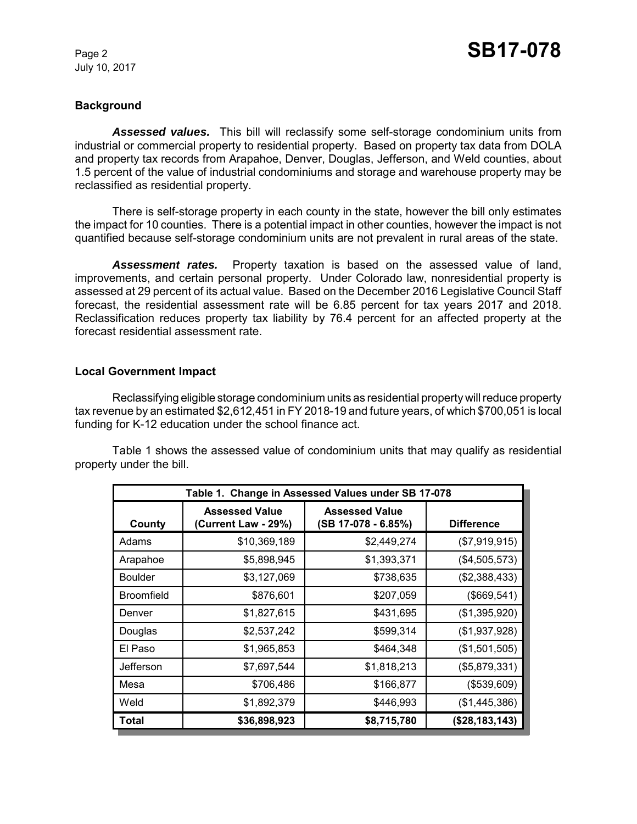July 10, 2017

#### **Background**

*Assessed values.* This bill will reclassify some self-storage condominium units from industrial or commercial property to residential property. Based on property tax data from DOLA and property tax records from Arapahoe, Denver, Douglas, Jefferson, and Weld counties, about 1.5 percent of the value of industrial condominiums and storage and warehouse property may be reclassified as residential property.

There is self-storage property in each county in the state, however the bill only estimates the impact for 10 counties. There is a potential impact in other counties, however the impact is not quantified because self-storage condominium units are not prevalent in rural areas of the state.

*Assessment rates.* Property taxation is based on the assessed value of land, improvements, and certain personal property. Under Colorado law, nonresidential property is assessed at 29 percent of its actual value. Based on the December 2016 Legislative Council Staff forecast, the residential assessment rate will be 6.85 percent for tax years 2017 and 2018. Reclassification reduces property tax liability by 76.4 percent for an affected property at the forecast residential assessment rate.

#### **Local Government Impact**

Reclassifying eligible storage condominium units as residential property will reduce property tax revenue by an estimated \$2,612,451 in FY 2018-19 and future years, of which \$700,051 is local funding for K-12 education under the school finance act.

Table 1 shows the assessed value of condominium units that may qualify as residential property under the bill.

| Table 1. Change in Assessed Values under SB 17-078 |                                              |                                              |                   |  |  |
|----------------------------------------------------|----------------------------------------------|----------------------------------------------|-------------------|--|--|
| County                                             | <b>Assessed Value</b><br>(Current Law - 29%) | <b>Assessed Value</b><br>(SB 17-078 - 6.85%) | <b>Difference</b> |  |  |
| Adams                                              | \$10,369,189                                 | \$2,449,274                                  | (\$7,919,915)     |  |  |
| Arapahoe                                           | \$5,898,945                                  | \$1,393,371                                  | (\$4,505,573)     |  |  |
| <b>Boulder</b>                                     | \$3,127,069                                  | \$738,635                                    | (\$2,388,433)     |  |  |
| <b>Broomfield</b>                                  | \$876,601                                    | \$207,059                                    | (\$669,541)       |  |  |
| Denver                                             | \$1,827,615                                  | \$431,695                                    | (\$1,395,920)     |  |  |
| Douglas                                            | \$2,537,242                                  | \$599,314                                    | (\$1,937,928)     |  |  |
| El Paso                                            | \$1,965,853                                  | \$464,348                                    | (\$1,501,505)     |  |  |
| Jefferson                                          | \$7,697,544                                  | \$1,818,213                                  | (\$5,879,331)     |  |  |
| Mesa                                               | \$706,486                                    | \$166,877                                    | ( \$539, 609)     |  |  |
| Weld                                               | \$1,892,379                                  | \$446,993                                    | (\$1,445,386)     |  |  |
| Total                                              | \$36,898,923                                 | \$8,715,780                                  | (\$28,183,143)    |  |  |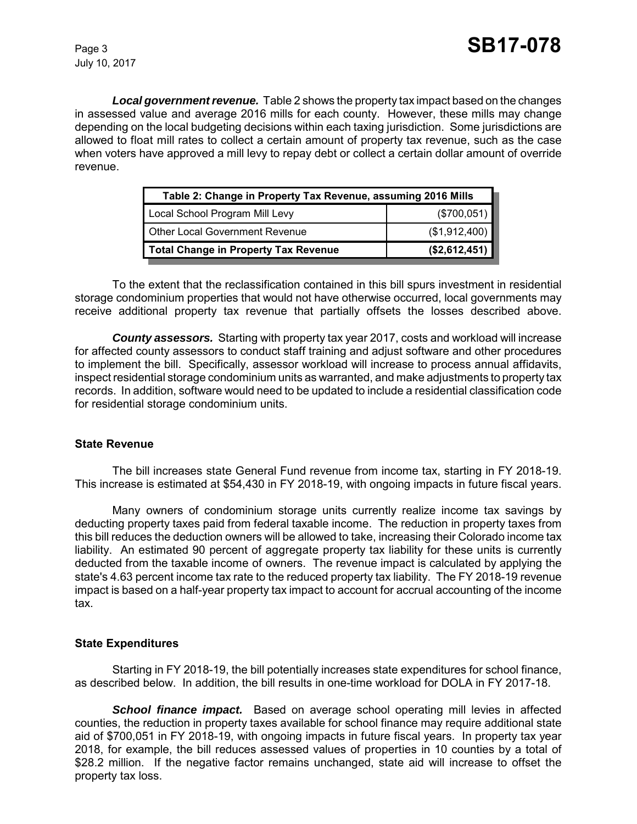July 10, 2017

*Local government revenue.* Table 2 shows the property tax impact based on the changes in assessed value and average 2016 mills for each county. However, these mills may change depending on the local budgeting decisions within each taxing jurisdiction. Some jurisdictions are allowed to float mill rates to collect a certain amount of property tax revenue, such as the case when voters have approved a mill levy to repay debt or collect a certain dollar amount of override revenue.

| Table 2: Change in Property Tax Revenue, assuming 2016 Mills |               |  |  |  |
|--------------------------------------------------------------|---------------|--|--|--|
| Local School Program Mill Levy                               | $(\$700,051)$ |  |  |  |
| <b>Other Local Government Revenue</b>                        | (\$1,912,400) |  |  |  |
| <b>Total Change in Property Tax Revenue</b>                  | (\$2,612,451) |  |  |  |

To the extent that the reclassification contained in this bill spurs investment in residential storage condominium properties that would not have otherwise occurred, local governments may receive additional property tax revenue that partially offsets the losses described above.

*County assessors.* Starting with property tax year 2017, costs and workload will increase for affected county assessors to conduct staff training and adjust software and other procedures to implement the bill. Specifically, assessor workload will increase to process annual affidavits, inspect residential storage condominium units as warranted, and make adjustments to property tax records. In addition, software would need to be updated to include a residential classification code for residential storage condominium units.

#### **State Revenue**

The bill increases state General Fund revenue from income tax, starting in FY 2018-19. This increase is estimated at \$54,430 in FY 2018-19, with ongoing impacts in future fiscal years.

Many owners of condominium storage units currently realize income tax savings by deducting property taxes paid from federal taxable income. The reduction in property taxes from this bill reduces the deduction owners will be allowed to take, increasing their Colorado income tax liability. An estimated 90 percent of aggregate property tax liability for these units is currently deducted from the taxable income of owners. The revenue impact is calculated by applying the state's 4.63 percent income tax rate to the reduced property tax liability. The FY 2018-19 revenue impact is based on a half-year property tax impact to account for accrual accounting of the income tax.

#### **State Expenditures**

Starting in FY 2018-19, the bill potentially increases state expenditures for school finance, as described below. In addition, the bill results in one-time workload for DOLA in FY 2017-18.

**School finance impact.** Based on average school operating mill levies in affected counties, the reduction in property taxes available for school finance may require additional state aid of \$700,051 in FY 2018-19, with ongoing impacts in future fiscal years. In property tax year 2018, for example, the bill reduces assessed values of properties in 10 counties by a total of \$28.2 million. If the negative factor remains unchanged, state aid will increase to offset the property tax loss.